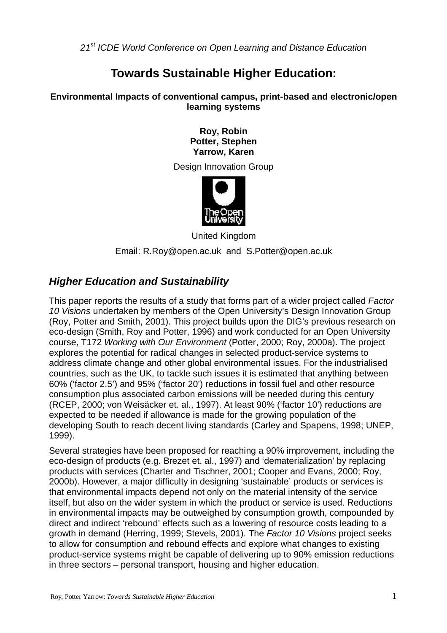21<sup>st</sup> ICDE World Conference on Open Learning and Distance Education

# **Towards Sustainable Higher Education:**

#### **Environmental Impacts of conventional campus, print-based and electronic/open learning systems**

**Roy, Robin Potter, Stephen Yarrow, Karen** 

Design Innovation Group



United Kingdom Email: R.Roy@open.ac.uk and S.Potter@open.ac.uk

# **Higher Education and Sustainability**

This paper reports the results of a study that forms part of a wider project called Factor 10 Visions undertaken by members of the Open University's Design Innovation Group (Roy, Potter and Smith, 2001). This project builds upon the DIG's previous research on eco-design (Smith, Roy and Potter, 1996) and work conducted for an Open University course, T172 Working with Our Environment (Potter, 2000; Roy, 2000a). The project explores the potential for radical changes in selected product-service systems to address climate change and other global environmental issues. For the industrialised countries, such as the UK, to tackle such issues it is estimated that anything between 60% ('factor 2.5') and 95% ('factor 20') reductions in fossil fuel and other resource consumption plus associated carbon emissions will be needed during this century (RCEP, 2000; von Weisäcker et. al., 1997). At least 90% ('factor 10') reductions are expected to be needed if allowance is made for the growing population of the developing South to reach decent living standards (Carley and Spapens, 1998; UNEP, 1999).

Several strategies have been proposed for reaching a 90% improvement, including the eco-design of products (e.g. Brezet et. al., 1997) and 'dematerialization' by replacing products with services (Charter and Tischner, 2001; Cooper and Evans, 2000; Roy, 2000b). However, a major difficulty in designing 'sustainable' products or services is that environmental impacts depend not only on the material intensity of the service itself, but also on the wider system in which the product or service is used. Reductions in environmental impacts may be outweighed by consumption growth, compounded by direct and indirect 'rebound' effects such as a lowering of resource costs leading to a growth in demand (Herring, 1999; Stevels, 2001). The Factor 10 Visions project seeks to allow for consumption and rebound effects and explore what changes to existing product-service systems might be capable of delivering up to 90% emission reductions in three sectors – personal transport, housing and higher education.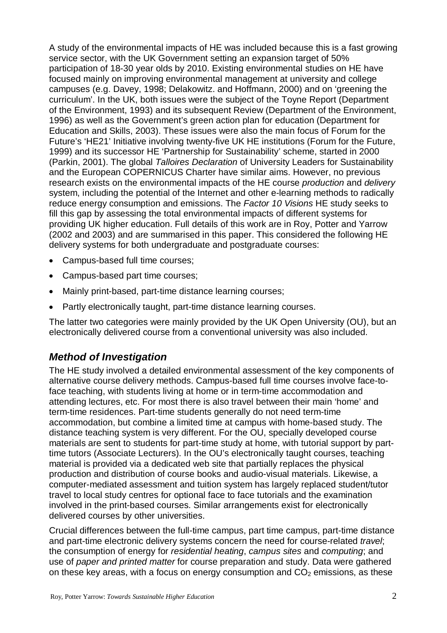A study of the environmental impacts of HE was included because this is a fast growing service sector, with the UK Government setting an expansion target of 50% participation of 18-30 year olds by 2010. Existing environmental studies on HE have focused mainly on improving environmental management at university and college campuses (e.g. Davey, 1998; Delakowitz. and Hoffmann, 2000) and on 'greening the curriculum'. In the UK, both issues were the subject of the Toyne Report (Department of the Environment, 1993) and its subsequent Review (Department of the Environment, 1996) as well as the Government's green action plan for education (Department for Education and Skills, 2003). These issues were also the main focus of Forum for the Future's 'HE21' Initiative involving twenty-five UK HE institutions (Forum for the Future, 1999) and its successor HE 'Partnership for Sustainability' scheme, started in 2000 (Parkin, 2001). The global Talloires Declaration of University Leaders for Sustainability and the European COPERNICUS Charter have similar aims. However, no previous research exists on the environmental impacts of the HE course production and delivery system, including the potential of the Internet and other e-learning methods to radically reduce energy consumption and emissions. The Factor 10 Visions HE study seeks to fill this gap by assessing the total environmental impacts of different systems for providing UK higher education. Full details of this work are in Roy, Potter and Yarrow (2002 and 2003) and are summarised in this paper. This considered the following HE delivery systems for both undergraduate and postgraduate courses:

- Campus-based full time courses;
- Campus-based part time courses;
- Mainly print-based, part-time distance learning courses;
- Partly electronically taught, part-time distance learning courses.

The latter two categories were mainly provided by the UK Open University (OU), but an electronically delivered course from a conventional university was also included.

# **Method of Investigation**

The HE study involved a detailed environmental assessment of the key components of alternative course delivery methods. Campus-based full time courses involve face-toface teaching, with students living at home or in term-time accommodation and attending lectures, etc. For most there is also travel between their main 'home' and term-time residences. Part-time students generally do not need term-time accommodation, but combine a limited time at campus with home-based study. The distance teaching system is very different. For the OU, specially developed course materials are sent to students for part-time study at home, with tutorial support by parttime tutors (Associate Lecturers). In the OU's electronically taught courses, teaching material is provided via a dedicated web site that partially replaces the physical production and distribution of course books and audio-visual materials. Likewise, a computer-mediated assessment and tuition system has largely replaced student/tutor travel to local study centres for optional face to face tutorials and the examination involved in the print-based courses. Similar arrangements exist for electronically delivered courses by other universities.

Crucial differences between the full-time campus, part time campus, part-time distance and part-time electronic delivery systems concern the need for course-related travel; the consumption of energy for residential heating, campus sites and computing; and use of paper and printed matter for course preparation and study. Data were gathered on these key areas, with a focus on energy consumption and  $CO<sub>2</sub>$  emissions, as these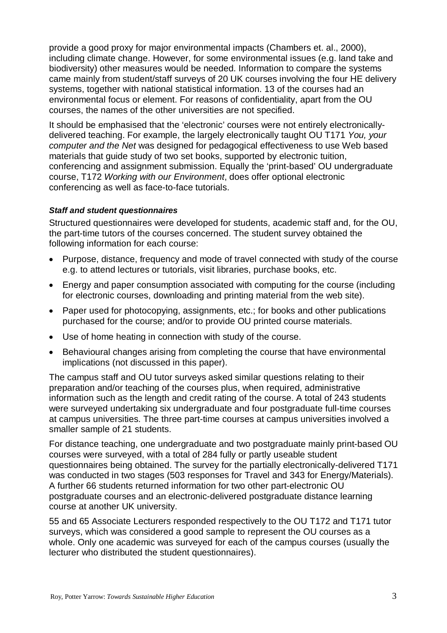provide a good proxy for major environmental impacts (Chambers et. al., 2000), including climate change. However, for some environmental issues (e.g. land take and biodiversity) other measures would be needed. Information to compare the systems came mainly from student/staff surveys of 20 UK courses involving the four HE delivery systems, together with national statistical information. 13 of the courses had an environmental focus or element. For reasons of confidentiality, apart from the OU courses, the names of the other universities are not specified.

It should be emphasised that the 'electronic' courses were not entirely electronicallydelivered teaching. For example, the largely electronically taught OU T171 You, your computer and the Net was designed for pedagogical effectiveness to use Web based materials that guide study of two set books, supported by electronic tuition, conferencing and assignment submission. Equally the 'print-based' OU undergraduate course, T172 Working with our Environment, does offer optional electronic conferencing as well as face-to-face tutorials.

#### **Staff and student questionnaires**

Structured questionnaires were developed for students, academic staff and, for the OU, the part-time tutors of the courses concerned. The student survey obtained the following information for each course:

- Purpose, distance, frequency and mode of travel connected with study of the course e.g. to attend lectures or tutorials, visit libraries, purchase books, etc.
- Energy and paper consumption associated with computing for the course (including for electronic courses, downloading and printing material from the web site).
- Paper used for photocopying, assignments, etc.; for books and other publications purchased for the course; and/or to provide OU printed course materials.
- Use of home heating in connection with study of the course.
- Behavioural changes arising from completing the course that have environmental implications (not discussed in this paper).

The campus staff and OU tutor surveys asked similar questions relating to their preparation and/or teaching of the courses plus, when required, administrative information such as the length and credit rating of the course. A total of 243 students were surveyed undertaking six undergraduate and four postgraduate full-time courses at campus universities. The three part-time courses at campus universities involved a smaller sample of 21 students.

For distance teaching, one undergraduate and two postgraduate mainly print-based OU courses were surveyed, with a total of 284 fully or partly useable student questionnaires being obtained. The survey for the partially electronically-delivered T171 was conducted in two stages (503 responses for Travel and 343 for Energy/Materials). A further 66 students returned information for two other part-electronic OU postgraduate courses and an electronic-delivered postgraduate distance learning course at another UK university.

55 and 65 Associate Lecturers responded respectively to the OU T172 and T171 tutor surveys, which was considered a good sample to represent the OU courses as a whole. Only one academic was surveyed for each of the campus courses (usually the lecturer who distributed the student questionnaires).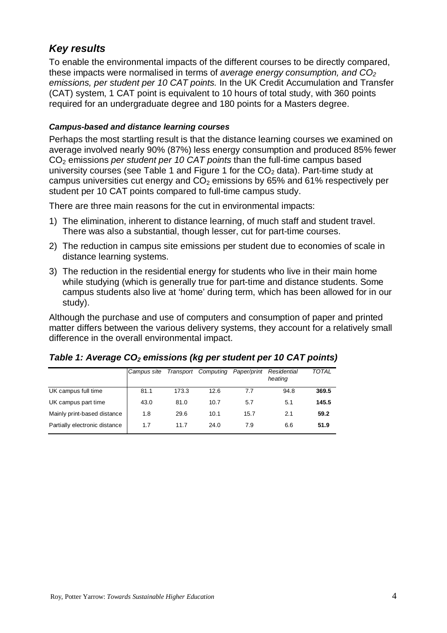# **Key results**

To enable the environmental impacts of the different courses to be directly compared, these impacts were normalised in terms of average energy consumption, and  $CO<sub>2</sub>$ emissions, per student per 10 CAT points. In the UK Credit Accumulation and Transfer (CAT) system, 1 CAT point is equivalent to 10 hours of total study, with 360 points required for an undergraduate degree and 180 points for a Masters degree.

#### **Campus-based and distance learning courses**

Perhaps the most startling result is that the distance learning courses we examined on average involved nearly 90% (87%) less energy consumption and produced 85% fewer  $CO<sub>2</sub>$  emissions per student per 10 CAT points than the full-time campus based university courses (see Table 1 and Figure 1 for the  $CO<sub>2</sub>$  data). Part-time study at campus universities cut energy and  $CO<sub>2</sub>$  emissions by 65% and 61% respectively per student per 10 CAT points compared to full-time campus study.

There are three main reasons for the cut in environmental impacts:

- 1) The elimination, inherent to distance learning, of much staff and student travel. There was also a substantial, though lesser, cut for part-time courses.
- 2) The reduction in campus site emissions per student due to economies of scale in distance learning systems.
- 3) The reduction in the residential energy for students who live in their main home while studying (which is generally true for part-time and distance students. Some campus students also live at 'home' during term, which has been allowed for in our study).

Although the purchase and use of computers and consumption of paper and printed matter differs between the various delivery systems, they account for a relatively small difference in the overall environmental impact.

|                               | Campus site | Transport | Computing | Paper/print | Residential<br>heating | <b>TOTAL</b> |
|-------------------------------|-------------|-----------|-----------|-------------|------------------------|--------------|
| UK campus full time           | 81.1        | 173.3     | 12.6      | 7.7         | 94.8                   | 369.5        |
| UK campus part time           | 43.0        | 81.0      | 10.7      | 5.7         | 5.1                    | 145.5        |
| Mainly print-based distance   | 1.8         | 29.6      | 10.1      | 15.7        | 2.1                    | 59.2         |
| Partially electronic distance | 1.7         | 11.7      | 24.0      | 7.9         | 6.6                    | 51.9         |

## **Table 1: Average CO2 emissions (kg per student per 10 CAT points)**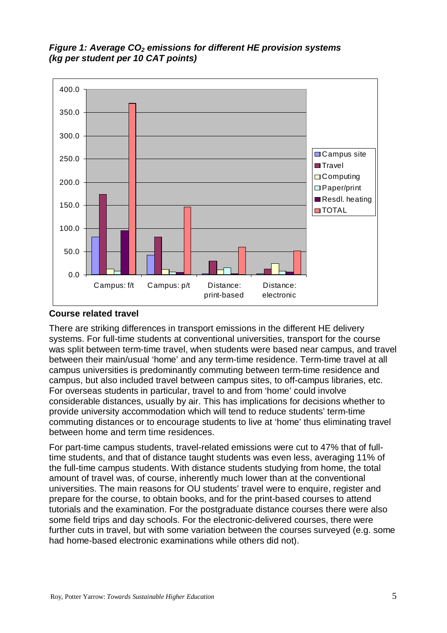**Figure 1: Average CO2 emissions for different HE provision systems (kg per student per 10 CAT points)** 



#### **Course related travel**

There are striking differences in transport emissions in the different HE delivery systems. For full-time students at conventional universities, transport for the course was split between term-time travel, when students were based near campus, and travel between their main/usual 'home' and any term-time residence. Term-time travel at all campus universities is predominantly commuting between term-time residence and campus, but also included travel between campus sites, to off-campus libraries, etc. For overseas students in particular, travel to and from 'home' could involve considerable distances, usually by air. This has implications for decisions whether to provide university accommodation which will tend to reduce students' term-time commuting distances or to encourage students to live at 'home' thus eliminating travel between home and term time residences.

For part-time campus students, travel-related emissions were cut to 47% that of fulltime students, and that of distance taught students was even less, averaging 11% of the full-time campus students. With distance students studying from home, the total amount of travel was, of course, inherently much lower than at the conventional universities. The main reasons for OU students' travel were to enquire, register and prepare for the course, to obtain books, and for the print-based courses to attend tutorials and the examination. For the postgraduate distance courses there were also some field trips and day schools. For the electronic-delivered courses, there were further cuts in travel, but with some variation between the courses surveyed (e.g. some had home-based electronic examinations while others did not).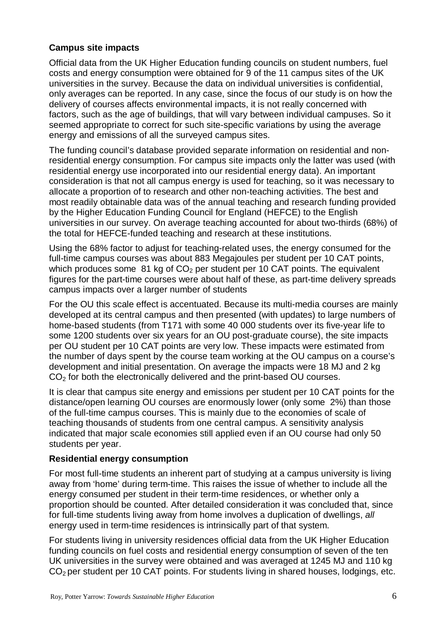### **Campus site impacts**

Official data from the UK Higher Education funding councils on student numbers, fuel costs and energy consumption were obtained for 9 of the 11 campus sites of the UK universities in the survey. Because the data on individual universities is confidential, only averages can be reported. In any case, since the focus of our study is on how the delivery of courses affects environmental impacts, it is not really concerned with factors, such as the age of buildings, that will vary between individual campuses. So it seemed appropriate to correct for such site-specific variations by using the average energy and emissions of all the surveyed campus sites.

The funding council's database provided separate information on residential and nonresidential energy consumption. For campus site impacts only the latter was used (with residential energy use incorporated into our residential energy data). An important consideration is that not all campus energy is used for teaching, so it was necessary to allocate a proportion of to research and other non-teaching activities. The best and most readily obtainable data was of the annual teaching and research funding provided by the Higher Education Funding Council for England (HEFCE) to the English universities in our survey. On average teaching accounted for about two-thirds (68%) of the total for HEFCE-funded teaching and research at these institutions.

Using the 68% factor to adjust for teaching-related uses, the energy consumed for the full-time campus courses was about 883 Megajoules per student per 10 CAT points, which produces some  $81$  kg of  $CO<sub>2</sub>$  per student per 10 CAT points. The equivalent figures for the part-time courses were about half of these, as part-time delivery spreads campus impacts over a larger number of students

For the OU this scale effect is accentuated. Because its multi-media courses are mainly developed at its central campus and then presented (with updates) to large numbers of home-based students (from T171 with some 40 000 students over its five-year life to some 1200 students over six years for an OU post-graduate course), the site impacts per OU student per 10 CAT points are very low. These impacts were estimated from the number of days spent by the course team working at the OU campus on a course's development and initial presentation. On average the impacts were 18 MJ and 2 kg CO<sub>2</sub> for both the electronically delivered and the print-based OU courses.

It is clear that campus site energy and emissions per student per 10 CAT points for the distance/open learning OU courses are enormously lower (only some 2%) than those of the full-time campus courses. This is mainly due to the economies of scale of teaching thousands of students from one central campus. A sensitivity analysis indicated that major scale economies still applied even if an OU course had only 50 students per year.

#### **Residential energy consumption**

For most full-time students an inherent part of studying at a campus university is living away from 'home' during term-time. This raises the issue of whether to include all the energy consumed per student in their term-time residences, or whether only a proportion should be counted. After detailed consideration it was concluded that, since for full-time students living away from home involves a duplication of dwellings, all energy used in term-time residences is intrinsically part of that system.

For students living in university residences official data from the UK Higher Education funding councils on fuel costs and residential energy consumption of seven of the ten UK universities in the survey were obtained and was averaged at 1245 MJ and 110 kg  $CO<sub>2</sub>$  per student per 10 CAT points. For students living in shared houses, lodgings, etc.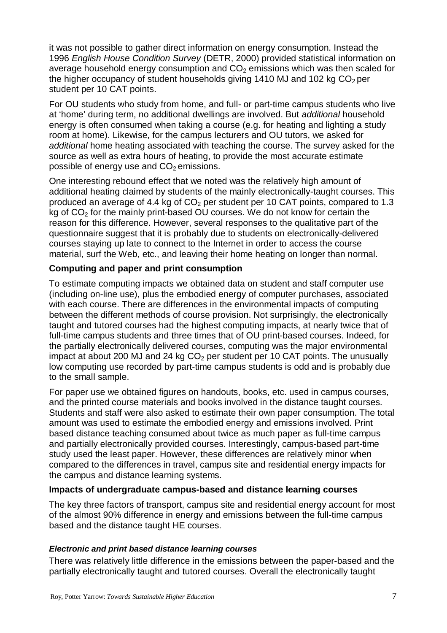it was not possible to gather direct information on energy consumption. Instead the 1996 English House Condition Survey (DETR, 2000) provided statistical information on average household energy consumption and  $CO<sub>2</sub>$  emissions which was then scaled for the higher occupancy of student households giving 1410 MJ and 102 kg  $CO<sub>2</sub>$  per student per 10 CAT points.

For OU students who study from home, and full- or part-time campus students who live at 'home' during term, no additional dwellings are involved. But additional household energy is often consumed when taking a course (e.g. for heating and lighting a study room at home). Likewise, for the campus lecturers and OU tutors, we asked for additional home heating associated with teaching the course. The survey asked for the source as well as extra hours of heating, to provide the most accurate estimate possible of energy use and  $CO<sub>2</sub>$  emissions.

One interesting rebound effect that we noted was the relatively high amount of additional heating claimed by students of the mainly electronically-taught courses. This produced an average of 4.4 kg of  $CO<sub>2</sub>$  per student per 10 CAT points, compared to 1.3 kg of  $CO<sub>2</sub>$  for the mainly print-based OU courses. We do not know for certain the reason for this difference. However, several responses to the qualitative part of the questionnaire suggest that it is probably due to students on electronically-delivered courses staying up late to connect to the Internet in order to access the course material, surf the Web, etc., and leaving their home heating on longer than normal.

## **Computing and paper and print consumption**

To estimate computing impacts we obtained data on student and staff computer use (including on-line use), plus the embodied energy of computer purchases, associated with each course. There are differences in the environmental impacts of computing between the different methods of course provision. Not surprisingly, the electronically taught and tutored courses had the highest computing impacts, at nearly twice that of full-time campus students and three times that of OU print-based courses. Indeed, for the partially electronically delivered courses, computing was the major environmental impact at about 200 MJ and 24 kg  $CO<sub>2</sub>$  per student per 10 CAT points. The unusually low computing use recorded by part-time campus students is odd and is probably due to the small sample.

For paper use we obtained figures on handouts, books, etc. used in campus courses, and the printed course materials and books involved in the distance taught courses. Students and staff were also asked to estimate their own paper consumption. The total amount was used to estimate the embodied energy and emissions involved. Print based distance teaching consumed about twice as much paper as full-time campus and partially electronically provided courses. Interestingly, campus-based part-time study used the least paper. However, these differences are relatively minor when compared to the differences in travel, campus site and residential energy impacts for the campus and distance learning systems.

## **Impacts of undergraduate campus-based and distance learning courses**

The key three factors of transport, campus site and residential energy account for most of the almost 90% difference in energy and emissions between the full-time campus based and the distance taught HE courses.

## **Electronic and print based distance learning courses**

There was relatively little difference in the emissions between the paper-based and the partially electronically taught and tutored courses. Overall the electronically taught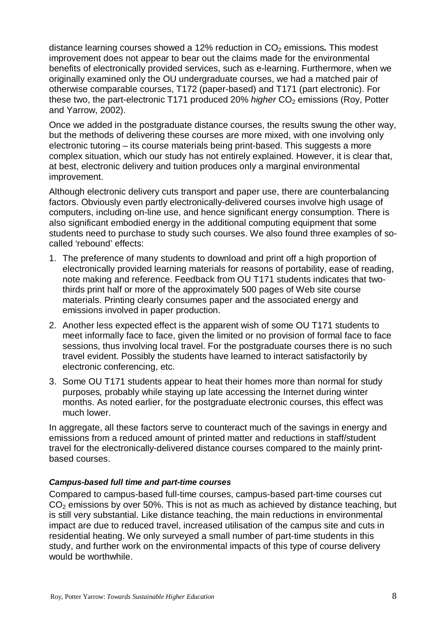distance learning courses showed a 12% reduction in CO<sub>2</sub> emissions. This modest improvement does not appear to bear out the claims made for the environmental benefits of electronically provided services, such as e-learning. Furthermore, when we originally examined only the OU undergraduate courses, we had a matched pair of otherwise comparable courses, T172 (paper-based) and T171 (part electronic). For these two, the part-electronic T171 produced 20% higher  $CO<sub>2</sub>$  emissions (Roy, Potter and Yarrow, 2002).

Once we added in the postgraduate distance courses, the results swung the other way, but the methods of delivering these courses are more mixed, with one involving only electronic tutoring – its course materials being print-based. This suggests a more complex situation, which our study has not entirely explained. However, it is clear that, at best, electronic delivery and tuition produces only a marginal environmental improvement.

Although electronic delivery cuts transport and paper use, there are counterbalancing factors. Obviously even partly electronically-delivered courses involve high usage of computers, including on-line use, and hence significant energy consumption. There is also significant embodied energy in the additional computing equipment that some students need to purchase to study such courses. We also found three examples of socalled 'rebound' effects:

- 1. The preference of many students to download and print off a high proportion of electronically provided learning materials for reasons of portability, ease of reading, note making and reference. Feedback from OU T171 students indicates that twothirds print half or more of the approximately 500 pages of Web site course materials. Printing clearly consumes paper and the associated energy and emissions involved in paper production.
- 2. Another less expected effect is the apparent wish of some OU T171 students to meet informally face to face, given the limited or no provision of formal face to face sessions, thus involving local travel. For the postgraduate courses there is no such travel evident. Possibly the students have learned to interact satisfactorily by electronic conferencing, etc.
- 3. Some OU T171 students appear to heat their homes more than normal for study purposes, probably while staying up late accessing the Internet during winter months. As noted earlier, for the postgraduate electronic courses, this effect was much lower.

In aggregate, all these factors serve to counteract much of the savings in energy and emissions from a reduced amount of printed matter and reductions in staff/student travel for the electronically-delivered distance courses compared to the mainly printbased courses.

#### **Campus-based full time and part-time courses**

Compared to campus-based full-time courses, campus-based part-time courses cut  $CO<sub>2</sub>$  emissions by over 50%. This is not as much as achieved by distance teaching, but is still very substantial. Like distance teaching, the main reductions in environmental impact are due to reduced travel, increased utilisation of the campus site and cuts in residential heating. We only surveyed a small number of part-time students in this study, and further work on the environmental impacts of this type of course delivery would be worthwhile.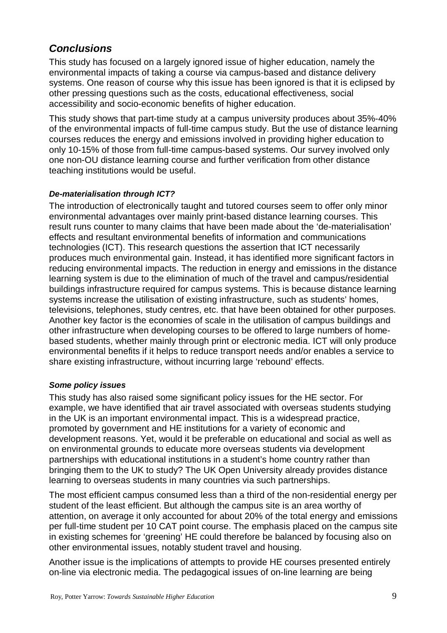# **Conclusions**

This study has focused on a largely ignored issue of higher education, namely the environmental impacts of taking a course via campus-based and distance delivery systems. One reason of course why this issue has been ignored is that it is eclipsed by other pressing questions such as the costs, educational effectiveness, social accessibility and socio-economic benefits of higher education.

This study shows that part-time study at a campus university produces about 35%-40% of the environmental impacts of full-time campus study. But the use of distance learning courses reduces the energy and emissions involved in providing higher education to only 10-15% of those from full-time campus-based systems. Our survey involved only one non-OU distance learning course and further verification from other distance teaching institutions would be useful.

## **De-materialisation through ICT?**

The introduction of electronically taught and tutored courses seem to offer only minor environmental advantages over mainly print-based distance learning courses. This result runs counter to many claims that have been made about the 'de-materialisation' effects and resultant environmental benefits of information and communications technologies (ICT). This research questions the assertion that ICT necessarily produces much environmental gain. Instead, it has identified more significant factors in reducing environmental impacts. The reduction in energy and emissions in the distance learning system is due to the elimination of much of the travel and campus/residential buildings infrastructure required for campus systems. This is because distance learning systems increase the utilisation of existing infrastructure, such as students' homes, televisions, telephones, study centres, etc. that have been obtained for other purposes. Another key factor is the economies of scale in the utilisation of campus buildings and other infrastructure when developing courses to be offered to large numbers of homebased students, whether mainly through print or electronic media. ICT will only produce environmental benefits if it helps to reduce transport needs and/or enables a service to share existing infrastructure, without incurring large 'rebound' effects.

## **Some policy issues**

This study has also raised some significant policy issues for the HE sector. For example, we have identified that air travel associated with overseas students studying in the UK is an important environmental impact. This is a widespread practice, promoted by government and HE institutions for a variety of economic and development reasons. Yet, would it be preferable on educational and social as well as on environmental grounds to educate more overseas students via development partnerships with educational institutions in a student's home country rather than bringing them to the UK to study? The UK Open University already provides distance learning to overseas students in many countries via such partnerships.

The most efficient campus consumed less than a third of the non-residential energy per student of the least efficient. But although the campus site is an area worthy of attention, on average it only accounted for about 20% of the total energy and emissions per full-time student per 10 CAT point course. The emphasis placed on the campus site in existing schemes for 'greening' HE could therefore be balanced by focusing also on other environmental issues, notably student travel and housing.

Another issue is the implications of attempts to provide HE courses presented entirely on-line via electronic media. The pedagogical issues of on-line learning are being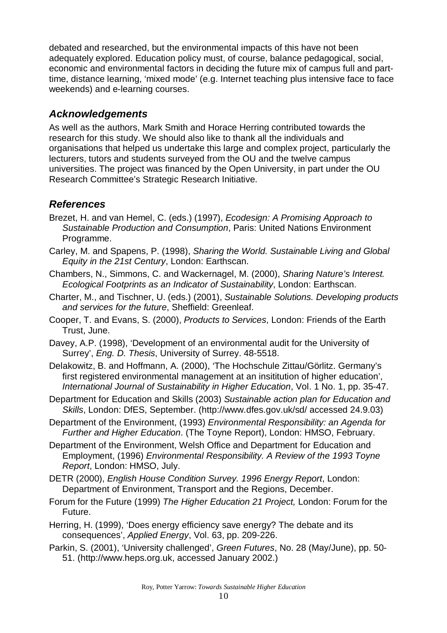debated and researched, but the environmental impacts of this have not been adequately explored. Education policy must, of course, balance pedagogical, social, economic and environmental factors in deciding the future mix of campus full and parttime, distance learning, 'mixed mode' (e.g. Internet teaching plus intensive face to face weekends) and e-learning courses.

# **Acknowledgements**

As well as the authors, Mark Smith and Horace Herring contributed towards the research for this study. We should also like to thank all the individuals and organisations that helped us undertake this large and complex project, particularly the lecturers, tutors and students surveyed from the OU and the twelve campus universities. The project was financed by the Open University, in part under the OU Research Committee's Strategic Research Initiative.

# **References**

- Brezet, H. and van Hemel, C. (eds.) (1997), Ecodesign: A Promising Approach to Sustainable Production and Consumption, Paris: United Nations Environment Programme.
- Carley, M. and Spapens, P. (1998), Sharing the World. Sustainable Living and Global Equity in the 21st Century, London: Earthscan.
- Chambers, N., Simmons, C. and Wackernagel, M. (2000), Sharing Nature's Interest. Ecological Footprints as an Indicator of Sustainability, London: Earthscan.
- Charter, M., and Tischner, U. (eds.) (2001), Sustainable Solutions. Developing products and services for the future, Sheffield: Greenleaf.
- Cooper, T. and Evans, S. (2000), Products to Services, London: Friends of the Earth Trust, June.
- Davey, A.P. (1998), 'Development of an environmental audit for the University of Surrey', Eng. D. Thesis, University of Surrey. 48-5518.
- Delakowitz, B. and Hoffmann, A. (2000), 'The Hochschule Zittau/Görlitz. Germany's first registered environmental management at an insititution of higher education', International Journal of Sustainability in Higher Education, Vol. 1 No. 1, pp. 35-47.
- Department for Education and Skills (2003) Sustainable action plan for Education and Skills, London: DfES, September. (http://www.dfes.gov.uk/sd/ accessed 24.9.03)
- Department of the Environment, (1993) Environmental Responsibility: an Agenda for Further and Higher Education. (The Toyne Report), London: HMSO, February.
- Department of the Environment, Welsh Office and Department for Education and Employment, (1996) Environmental Responsibility. A Review of the 1993 Toyne Report, London: HMSO, July.
- DETR (2000), English House Condition Survey. 1996 Energy Report, London: Department of Environment, Transport and the Regions, December.
- Forum for the Future (1999) The Higher Education 21 Project, London: Forum for the Future.
- Herring, H. (1999), 'Does energy efficiency save energy? The debate and its consequences', Applied Energy, Vol. 63, pp. 209-226.
- Parkin, S. (2001), 'University challenged', Green Futures, No. 28 (May/June), pp. 50- 51. (http://www.heps.org.uk, accessed January 2002.)